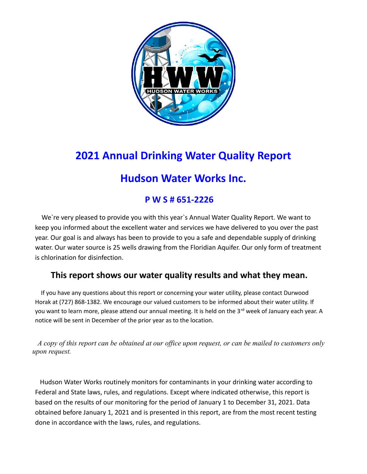

## **2021 Annual Drinking Water Quality Report**

### **Hudson Water Works Inc.**

### **P W S # 651-2226**

 We`re very pleased to provide you with this year`s Annual Water Quality Report. We want to keep you informed about the excellent water and services we have delivered to you over the past year. Our goal is and always has been to provide to you a safe and dependable supply of drinking water. Our water source is 25 wells drawing from the Floridian Aquifer. Our only form of treatment is chlorination for disinfection.

### **This report shows our water quality results and what they mean.**

 If you have any questions about this report or concerning your water utility, please contact Durwood Horak at (727) 868-1382. We encourage our valued customers to be informed about their water utility. If you want to learn more, please attend our annual meeting. It is held on the 3<sup>rd</sup> week of January each year. A notice will be sent in December of the prior year as to the location.

 *A copy of this report can be obtained at our office upon request, or can be mailed to customers only upon request.*

 Hudson Water Works routinely monitors for contaminants in your drinking water according to Federal and State laws, rules, and regulations. Except where indicated otherwise, this report is based on the results of our monitoring for the period of January 1 to December 31, 2021. Data obtained before January 1, 2021 and is presented in this report, are from the most recent testing done in accordance with the laws, rules, and regulations.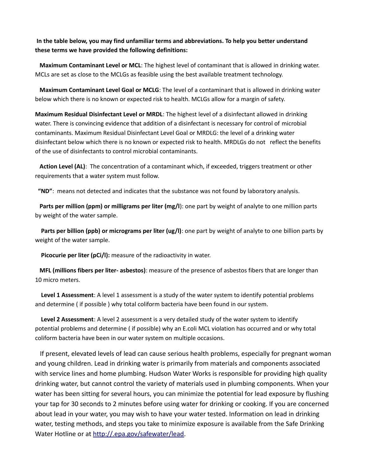#### **In the table below, you may find unfamiliar terms and abbreviations. To help you better understand these terms we have provided the following definitions:**

 **Maximum Contaminant Level or MCL**: The highest level of contaminant that is allowed in drinking water. MCLs are set as close to the MCLGs as feasible using the best available treatment technology.

 **Maximum Contaminant Level Goal or MCLG**: The level of a contaminant that is allowed in drinking water below which there is no known or expected risk to health. MCLGs allow for a margin of safety.

**Maximum Residual Disinfectant Level or MRDL**: The highest level of a disinfectant allowed in drinking water. There is convincing evidence that addition of a disinfectant is necessary for control of microbial contaminants. Maximum Residual Disinfectant Level Goal or MRDLG: the level of a drinking water disinfectant below which there is no known or expected risk to health. MRDLGs do not reflect the benefits of the use of disinfectants to control microbial contaminants.

 **Action Level (AL)**: The concentration of a contaminant which, if exceeded, triggers treatment or other requirements that a water system must follow.

 **"ND"**: means not detected and indicates that the substance was not found by laboratory analysis.

 **Parts per million (ppm) or milligrams per liter (mg/l**): one part by weight of analyte to one million parts by weight of the water sample.

 **Parts per billion (ppb) or micrograms per liter (ug/l)**: one part by weight of analyte to one billion parts by weight of the water sample.

Picocurie per liter (pCi/l): measure of the radioactivity in water.

 **MFL (millions fibers per liter- asbestos)**: measure of the presence of asbestos fibers that are longer than 10 micro meters.

 **Level 1 Assessment**: A level 1 assessment is a study of the water system to identify potential problems and determine ( if possible ) why total coliform bacteria have been found in our system.

 **Level 2 Assessment**: A level 2 assessment is a very detailed study of the water system to identify potential problems and determine ( if possible) why an E.coli MCL violation has occurred and or why total coliform bacteria have been in our water system on multiple occasions.

 If present, elevated levels of lead can cause serious health problems, especially for pregnant woman and young children. Lead in drinking water is primarily from materials and components associated with service lines and home plumbing. Hudson Water Works is responsible for providing high quality drinking water, but cannot control the variety of materials used in plumbing components. When your water has been sitting for several hours, you can minimize the potential for lead exposure by flushing your tap for 30 seconds to 2 minutes before using water for drinking or cooking. If you are concerned about lead in your water, you may wish to have your water tested. Information on lead in drinking water, testing methods, and steps you take to minimize exposure is available from the Safe Drinking Water Hotline or at [http://.epa.gov/safewater/lead.](file:///D:/Downloads/http:%2F%2F.epa.gov%2Fsafewater%2Flead)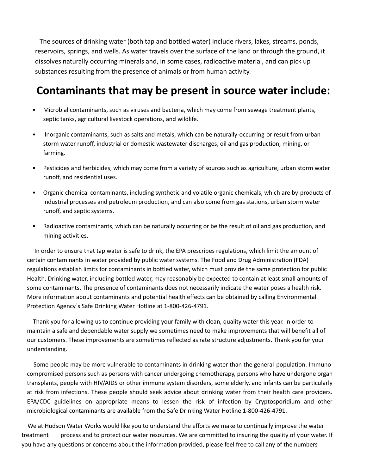The sources of drinking water (both tap and bottled water) include rivers, lakes, streams, ponds, reservoirs, springs, and wells. As water travels over the surface of the land or through the ground, it dissolves naturally occurring minerals and, in some cases, radioactive material, and can pick up substances resulting from the presence of animals or from human activity.

### **Contaminants that may be present in source water include:**

- Microbial contaminants, such as viruses and bacteria, which may come from sewage treatment plants, septic tanks, agricultural livestock operations, and wildlife.
- Inorganic contaminants, such as salts and metals, which can be naturally-occurring or result from urban storm water runoff, industrial or domestic wastewater discharges, oil and gas production, mining, or farming.
- Pesticides and herbicides, which may come from a variety of sources such as agriculture, urban storm water runoff, and residential uses.
- Organic chemical contaminants, including synthetic and volatile organic chemicals, which are by-products of industrial processes and petroleum production, and can also come from gas stations, urban storm water runoff, and septic systems.
- Radioactive contaminants, which can be naturally occurring or be the result of oil and gas production, and mining activities.

 In order to ensure that tap water is safe to drink, the EPA prescribes regulations, which limit the amount of certain contaminants in water provided by public water systems. The Food and Drug Administration (FDA) regulations establish limits for contaminants in bottled water, which must provide the same protection for public Health. Drinking water, including bottled water, may reasonably be expected to contain at least small amounts of some contaminants. The presence of contaminants does not necessarily indicate the water poses a health risk. More information about contaminants and potential health effects can be obtained by calling Environmental Protection Agency`s Safe Drinking Water Hotline at 1-800-426-4791.

 Thank you for allowing us to continue providing your family with clean, quality water this year. In order to maintain a safe and dependable water supply we sometimes need to make improvements that will benefit all of our customers. These improvements are sometimes reflected as rate structure adjustments. Thank you for your understanding.

 Some people may be more vulnerable to contaminants in drinking water than the general population. Immunocompromised persons such as persons with cancer undergoing chemotherapy, persons who have undergone organ transplants, people with HIV/AIDS or other immune system disorders, some elderly, and infants can be particularly at risk from infections. These people should seek advice about drinking water from their health care providers. EPA/CDC guidelines on appropriate means to lessen the risk of infection by Cryptosporidium and other microbiological contaminants are available from the Safe Drinking Water Hotline 1-800-426-4791.

 We at Hudson Water Works would like you to understand the efforts we make to continually improve the water treatment process and to protect our water resources. We are committed to insuring the quality of your water. If you have any questions or concerns about the information provided, please feel free to call any of the numbers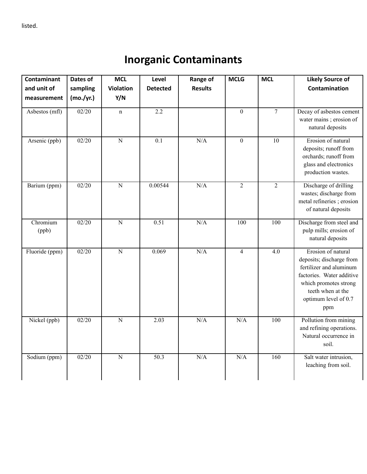# **Inorganic Contaminants**

| Contaminant<br>and unit of | Dates of<br>sampling | <b>MCL</b><br><b>Violation</b> | Level<br><b>Detected</b> | Range of<br><b>Results</b> | <b>MCLG</b>      | <b>MCL</b>       | <b>Likely Source of</b><br>Contamination                                                                                                                                            |
|----------------------------|----------------------|--------------------------------|--------------------------|----------------------------|------------------|------------------|-------------------------------------------------------------------------------------------------------------------------------------------------------------------------------------|
| measurement                | (mo./yr.)            | Y/N                            |                          |                            |                  |                  |                                                                                                                                                                                     |
| Asbestos (mfl)             | 02/20                | $\mathbf n$                    | $\overline{2.2}$         |                            | $\boldsymbol{0}$ | $\overline{7}$   | Decay of asbestos cement<br>water mains; erosion of<br>natural deposits                                                                                                             |
| Arsenic (ppb)              | 02/20                | $\overline{N}$                 | $\overline{0.1}$         | N/A                        | $\overline{0}$   | 10               | Erosion of natural<br>deposits; runoff from<br>orchards; runoff from<br>glass and electronics<br>production wastes.                                                                 |
| Barium (ppm)               | 02/20                | $\overline{N}$                 | 0.00544                  | N/A                        | $\overline{2}$   | $\overline{2}$   | Discharge of drilling<br>wastes; discharge from<br>metal refineries; erosion<br>of natural deposits                                                                                 |
| Chromium<br>(ppb)          | 02/20                | $\overline{N}$                 | 0.51                     | N/A                        | $\overline{100}$ | $\overline{100}$ | Discharge from steel and<br>pulp mills; erosion of<br>natural deposits                                                                                                              |
| Fluoride (ppm)             | 02/20                | $\overline{\mathbf{N}}$        | 0.069                    | N/A                        | $\overline{4}$   | 4.0              | Erosion of natural<br>deposits; discharge from<br>fertilizer and aluminum<br>factories. Water additive<br>which promotes strong<br>teeth when at the<br>optimum level of 0.7<br>ppm |
| Nickel (ppb)               | 02/20                | $\overline{\mathbf{N}}$        | 2.03                     | N/A                        | N/A              | 100              | Pollution from mining<br>and refining operations.<br>Natural occurrence in<br>soil.                                                                                                 |
| Sodium (ppm)               | 02/20                | $\mathbf N$                    | 50.3                     | N/A                        | N/A              | 160              | Salt water intrusion,<br>leaching from soil.                                                                                                                                        |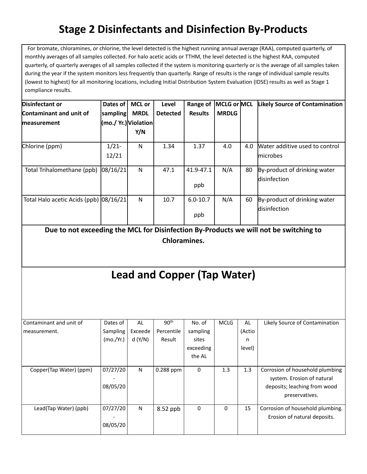## **Stage 2 Disinfectants and Disinfection By-Products**

 For bromate, chloramines, or chlorine, the level detected is the highest running annual average (RAA), computed quarterly, of monthly averages of all samples collected. For halo acetic acids or TTHM, the level detected is the highest RAA, computed quarterly, of quarterly averages of all samples collected if the system is monitoring quarterly or is the average of all samples taken during the year if the system monitors less frequently than quarterly. Range of results is the range of individual sample results (lowest to highest) for all monitoring locations, including Initial Distribution System Evaluation (IDSE) results as well as Stage 1 compliance results.

| Disinfectant or<br>Contaminant and unit of | Dates of<br>sampling | <b>MCL or</b><br><b>MRDL</b> | Level<br><b>Detected</b> | Range of<br><b>Results</b> | MCLG or MCL<br><b>MRDLG</b> |     | <b>Likely Source of Contamination</b>        |
|--------------------------------------------|----------------------|------------------------------|--------------------------|----------------------------|-----------------------------|-----|----------------------------------------------|
| <b>Imeasurement</b>                        | (mo./ Yr.) Violation | Y/N                          |                          |                            |                             |     |                                              |
| Chlorine (ppm)                             | $1/21$ -<br>12/21    | N                            | 1.34                     | 1.37                       | 4.0                         | 4.0 | Water additive used to control<br>lmicrobes  |
| Total Trihalomethane (ppb)   08/16/21      |                      | N                            | 47.1                     | 41.9-47.1<br>ppb           | N/A                         | 80  | By-product of drinking water<br>disinfection |
| Total Halo acetic Acids (ppb) 08/16/21     |                      | N                            | 10.7                     | $6.0 - 10.7$<br>ppb        | N/A                         | 60  | By-product of drinking water<br>disinfection |

**Due to not exceeding the MCL for Disinfection By-Products we will not be switching to Chloramines.**

## **Lead and Copper (Tap Water)**

| Contaminant and unit of | Dates of  | AL      | 90 <sup>th</sup> | No. of    | <b>MCLG</b>  | AL     | Likely Source of Contamination   |
|-------------------------|-----------|---------|------------------|-----------|--------------|--------|----------------------------------|
| measurement.            | Sampling  | Exceede | Percentile       | sampling  |              | (Actio |                                  |
|                         | (mo./Yr.) | d(Y/N)  | Result           | sites     |              | n      |                                  |
|                         |           |         |                  | exceeding |              | level) |                                  |
|                         |           |         |                  | the AL    |              |        |                                  |
|                         |           |         |                  |           |              |        |                                  |
| Copper(Tap Water) (ppm) | 07/27/20  | N       | $0.288$ ppm      | 0         | 1.3          | 1.3    | Corrosion of household plumbing  |
|                         |           |         |                  |           |              |        | system. Erosion of natural       |
|                         | 08/05/20  |         |                  |           |              |        | deposits; leaching from wood     |
|                         |           |         |                  |           |              |        | preservatives.                   |
|                         |           |         |                  |           |              |        |                                  |
| Lead(Tap Water) (ppb)   | 07/27/20  | N       | 8.52 ppb         | 0         | $\mathbf{0}$ | 15     | Corrosion of household plumbing. |
|                         |           |         |                  |           |              |        | Erosion of natural deposits.     |
|                         | 08/05/20  |         |                  |           |              |        |                                  |
|                         |           |         |                  |           |              |        |                                  |